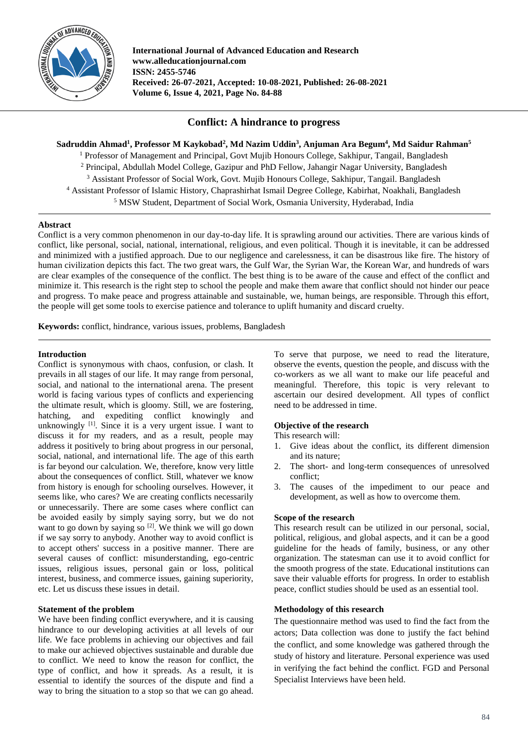

**International Journal of Advanced Education and Research www.alleducationjournal.com ISSN: 2455-5746 Received: 26-07-2021, Accepted: 10-08-2021, Published: 26-08-2021 Volume 6, Issue 4, 2021, Page No. 84-88**

# **Conflict: A hindrance to progress**

**Sadruddin Ahmad<sup>1</sup> , Professor M Kaykobad<sup>2</sup> , Md Nazim Uddin<sup>3</sup> , Anjuman Ara Begum<sup>4</sup> , Md Saidur Rahman<sup>5</sup>**

<sup>1</sup> Professor of Management and Principal, Govt Mujib Honours College, Sakhipur, Tangail, Bangladesh <sup>2</sup> Principal, Abdullah Model College, Gazipur and PhD Fellow, Jahangir Nagar University, Bangladesh <sup>3</sup> Assistant Professor of Social Work, Govt. Mujib Honours College, Sakhipur, Tangail. Bangladesh <sup>4</sup> Assistant Professor of Islamic History, Chaprashirhat Ismail Degree College, Kabirhat, Noakhali, Bangladesh <sup>5</sup> MSW Student, Department of Social Work, Osmania University, Hyderabad, India

# **Abstract**

Conflict is a very common phenomenon in our day-to-day life. It is sprawling around our activities. There are various kinds of conflict, like personal, social, national, international, religious, and even political. Though it is inevitable, it can be addressed and minimized with a justified approach. Due to our negligence and carelessness, it can be disastrous like fire. The history of human civilization depicts this fact. The two great wars, the Gulf War, the Syrian War, the Korean War, and hundreds of wars are clear examples of the consequence of the conflict. The best thing is to be aware of the cause and effect of the conflict and minimize it. This research is the right step to school the people and make them aware that conflict should not hinder our peace and progress. To make peace and progress attainable and sustainable, we, human beings, are responsible. Through this effort, the people will get some tools to exercise patience and tolerance to uplift humanity and discard cruelty.

**Keywords:** conflict, hindrance, various issues, problems, Bangladesh

# **Introduction**

Conflict is synonymous with chaos, confusion, or clash. It prevails in all stages of our life. It may range from personal, social, and national to the international arena. The present world is facing various types of conflicts and experiencing the ultimate result, which is gloomy. Still, we are fostering, hatching, and expediting conflict knowingly and unknowingly  $[1]$ . Since it is a very urgent issue. I want to discuss it for my readers, and as a result, people may address it positively to bring about progress in our personal, social, national, and international life. The age of this earth is far beyond our calculation. We, therefore, know very little about the consequences of conflict. Still, whatever we know from history is enough for schooling ourselves. However, it seems like, who cares? We are creating conflicts necessarily or unnecessarily. There are some cases where conflict can be avoided easily by simply saying sorry, but we do not want to go down by saying so  $[2]$ . We think we will go down if we say sorry to anybody. Another way to avoid conflict is to accept others' success in a positive manner. There are several causes of conflict: misunderstanding, ego-centric issues, religious issues, personal gain or loss, political interest, business, and commerce issues, gaining superiority, etc. Let us discuss these issues in detail.

# **Statement of the problem**

We have been finding conflict everywhere, and it is causing hindrance to our developing activities at all levels of our life. We face problems in achieving our objectives and fail to make our achieved objectives sustainable and durable due to conflict. We need to know the reason for conflict, the type of conflict, and how it spreads. As a result, it is essential to identify the sources of the dispute and find a way to bring the situation to a stop so that we can go ahead.

To serve that purpose, we need to read the literature, observe the events, question the people, and discuss with the co-workers as we all want to make our life peaceful and meaningful. Therefore, this topic is very relevant to ascertain our desired development. All types of conflict need to be addressed in time.

# **Objective of the research**

This research will:

- 1. Give ideas about the conflict, its different dimension and its nature;
- 2. The short- and long-term consequences of unresolved conflict;
- 3. The causes of the impediment to our peace and development, as well as how to overcome them.

# **Scope of the research**

This research result can be utilized in our personal, social, political, religious, and global aspects, and it can be a good guideline for the heads of family, business, or any other organization. The statesman can use it to avoid conflict for the smooth progress of the state. Educational institutions can save their valuable efforts for progress. In order to establish peace, conflict studies should be used as an essential tool.

# **Methodology of this research**

The questionnaire method was used to find the fact from the actors; Data collection was done to justify the fact behind the conflict, and some knowledge was gathered through the study of history and literature. Personal experience was used in verifying the fact behind the conflict. FGD and Personal Specialist Interviews have been held.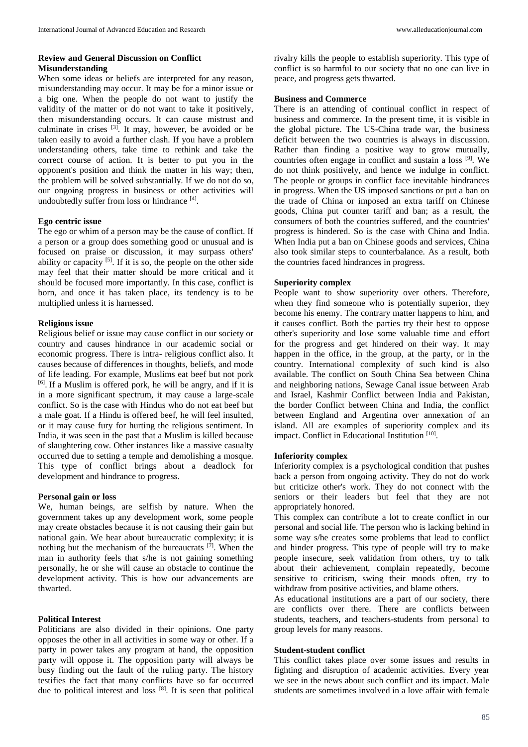# **Review and General Discussion on Conflict Misunderstanding**

When some ideas or beliefs are interpreted for any reason, misunderstanding may occur. It may be for a minor issue or a big one. When the people do not want to justify the validity of the matter or do not want to take it positively, then misunderstanding occurs. It can cause mistrust and culminate in crises  $[3]$ . It may, however, be avoided or be taken easily to avoid a further clash. If you have a problem understanding others, take time to rethink and take the correct course of action. It is better to put you in the opponent's position and think the matter in his way; then, the problem will be solved substantially. If we do not do so, our ongoing progress in business or other activities will undoubtedly suffer from loss or hindrance [4] .

### **Ego centric issue**

The ego or whim of a person may be the cause of conflict. If a person or a group does something good or unusual and is focused on praise or discussion, it may surpass others' ability or capacity  $[5]$ . If it is so, the people on the other side may feel that their matter should be more critical and it should be focused more importantly. In this case, conflict is born, and once it has taken place, its tendency is to be multiplied unless it is harnessed.

### **Religious issue**

Religious belief or issue may cause conflict in our society or country and causes hindrance in our academic social or economic progress. There is intra- religious conflict also. It causes because of differences in thoughts, beliefs, and mode of life leading. For example, Muslims eat beef but not pork [6] . If a Muslim is offered pork, he will be angry, and if it is in a more significant spectrum, it may cause a large-scale conflict. So is the case with Hindus who do not eat beef but a male goat. If a Hindu is offered beef, he will feel insulted, or it may cause fury for hurting the religious sentiment. In India, it was seen in the past that a Muslim is killed because of slaughtering cow. Other instances like a massive casualty occurred due to setting a temple and demolishing a mosque. This type of conflict brings about a deadlock for development and hindrance to progress.

### **Personal gain or loss**

We, human beings, are selfish by nature. When the government takes up any development work, some people may create obstacles because it is not causing their gain but national gain. We hear about bureaucratic complexity; it is nothing but the mechanism of the bureaucrats <sup>[7]</sup>. When the man in authority feels that s/he is not gaining something personally, he or she will cause an obstacle to continue the development activity. This is how our advancements are thwarted.

#### **Political Interest**

Politicians are also divided in their opinions. One party opposes the other in all activities in some way or other. If a party in power takes any program at hand, the opposition party will oppose it. The opposition party will always be busy finding out the fault of the ruling party. The history testifies the fact that many conflicts have so far occurred due to political interest and loss [8] . It is seen that political rivalry kills the people to establish superiority. This type of conflict is so harmful to our society that no one can live in peace, and progress gets thwarted.

#### **Business and Commerce**

There is an attending of continual conflict in respect of business and commerce. In the present time, it is visible in the global picture. The US-China trade war, the business deficit between the two countries is always in discussion. Rather than finding a positive way to grow mutually, countries often engage in conflict and sustain a loss [9] . We do not think positively, and hence we indulge in conflict. The people or groups in conflict face inevitable hindrances in progress. When the US imposed sanctions or put a ban on the trade of China or imposed an extra tariff on Chinese goods, China put counter tariff and ban; as a result, the consumers of both the countries suffered, and the countries' progress is hindered. So is the case with China and India. When India put a ban on Chinese goods and services, China also took similar steps to counterbalance. As a result, both the countries faced hindrances in progress.

#### **Superiority complex**

People want to show superiority over others. Therefore, when they find someone who is potentially superior, they become his enemy. The contrary matter happens to him, and it causes conflict. Both the parties try their best to oppose other's superiority and lose some valuable time and effort for the progress and get hindered on their way. It may happen in the office, in the group, at the party, or in the country. International complexity of such kind is also available. The conflict on South China Sea between China and neighboring nations, Sewage Canal issue between Arab and Israel, Kashmir Conflict between India and Pakistan, the border Conflict between China and India, the conflict between England and Argentina over annexation of an island. All are examples of superiority complex and its impact. Conflict in Educational Institution [10].

#### **Inferiority complex**

Inferiority complex is a psychological condition that pushes back a person from ongoing activity. They do not do work but criticize other's work. They do not connect with the seniors or their leaders but feel that they are not appropriately honored.

This complex can contribute a lot to create conflict in our personal and social life. The person who is lacking behind in some way s/he creates some problems that lead to conflict and hinder progress. This type of people will try to make people insecure, seek validation from others, try to talk about their achievement, complain repeatedly, become sensitive to criticism, swing their moods often, try to withdraw from positive activities, and blame others.

As educational institutions are a part of our society, there are conflicts over there. There are conflicts between students, teachers, and teachers-students from personal to group levels for many reasons.

### **Student-student conflict**

This conflict takes place over some issues and results in fighting and disruption of academic activities. Every year we see in the news about such conflict and its impact. Male students are sometimes involved in a love affair with female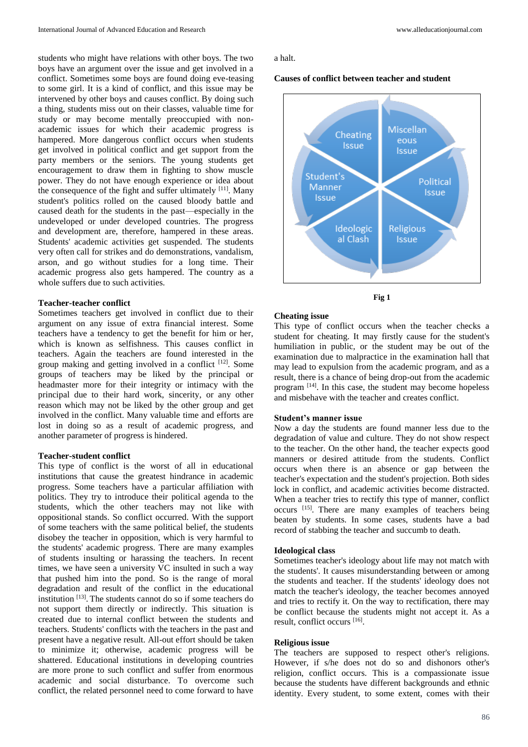students who might have relations with other boys. The two boys have an argument over the issue and get involved in a conflict. Sometimes some boys are found doing eve-teasing to some girl. It is a kind of conflict, and this issue may be intervened by other boys and causes conflict. By doing such a thing, students miss out on their classes, valuable time for study or may become mentally preoccupied with nonacademic issues for which their academic progress is hampered. More dangerous conflict occurs when students get involved in political conflict and get support from the party members or the seniors. The young students get encouragement to draw them in fighting to show muscle power. They do not have enough experience or idea about the consequence of the fight and suffer ultimately  $[11]$ . Many student's politics rolled on the caused bloody battle and caused death for the students in the past—especially in the undeveloped or under developed countries. The progress and development are, therefore, hampered in these areas. Students' academic activities get suspended. The students very often call for strikes and do demonstrations, vandalism, arson, and go without studies for a long time. Their academic progress also gets hampered. The country as a whole suffers due to such activities.

#### **Teacher-teacher conflict**

Sometimes teachers get involved in conflict due to their argument on any issue of extra financial interest. Some teachers have a tendency to get the benefit for him or her, which is known as selfishness. This causes conflict in teachers. Again the teachers are found interested in the group making and getting involved in a conflict <sup>[12]</sup>. Some groups of teachers may be liked by the principal or headmaster more for their integrity or intimacy with the principal due to their hard work, sincerity, or any other reason which may not be liked by the other group and get involved in the conflict. Many valuable time and efforts are lost in doing so as a result of academic progress, and another parameter of progress is hindered.

## **Teacher-student conflict**

This type of conflict is the worst of all in educational institutions that cause the greatest hindrance in academic progress. Some teachers have a particular affiliation with politics. They try to introduce their political agenda to the students, which the other teachers may not like with oppositional stands. So conflict occurred. With the support of some teachers with the same political belief, the students disobey the teacher in opposition, which is very harmful to the students' academic progress. There are many examples of students insulting or harassing the teachers. In recent times, we have seen a university VC insulted in such a way that pushed him into the pond. So is the range of moral degradation and result of the conflict in the educational institution [13] . The students cannot do so if some teachers do not support them directly or indirectly. This situation is created due to internal conflict between the students and teachers. Students' conflicts with the teachers in the past and present have a negative result. All-out effort should be taken to minimize it; otherwise, academic progress will be shattered. Educational institutions in developing countries are more prone to such conflict and suffer from enormous academic and social disturbance. To overcome such conflict, the related personnel need to come forward to have

a halt.

### **Causes of conflict between teacher and student**



**Fig 1**

## **Cheating issue**

This type of conflict occurs when the teacher checks a student for cheating. It may firstly cause for the student's humiliation in public, or the student may be out of the examination due to malpractice in the examination hall that may lead to expulsion from the academic program, and as a result, there is a chance of being drop-out from the academic program <sup>[14]</sup>. In this case, the student may become hopeless and misbehave with the teacher and creates conflict.

#### **Student's manner issue**

Now a day the students are found manner less due to the degradation of value and culture. They do not show respect to the teacher. On the other hand, the teacher expects good manners or desired attitude from the students. Conflict occurs when there is an absence or gap between the teacher's expectation and the student's projection. Both sides lock in conflict, and academic activities become distracted. When a teacher tries to rectify this type of manner, conflict occurs [15] . There are many examples of teachers being beaten by students. In some cases, students have a bad record of stabbing the teacher and succumb to death.

## **Ideological class**

Sometimes teacher's ideology about life may not match with the students'. It causes misunderstanding between or among the students and teacher. If the students' ideology does not match the teacher's ideology, the teacher becomes annoyed and tries to rectify it. On the way to rectification, there may be conflict because the students might not accept it. As a result, conflict occurs [16] .

#### **Religious issue**

The teachers are supposed to respect other's religions. However, if s/he does not do so and dishonors other's religion, conflict occurs. This is a compassionate issue because the students have different backgrounds and ethnic identity. Every student, to some extent, comes with their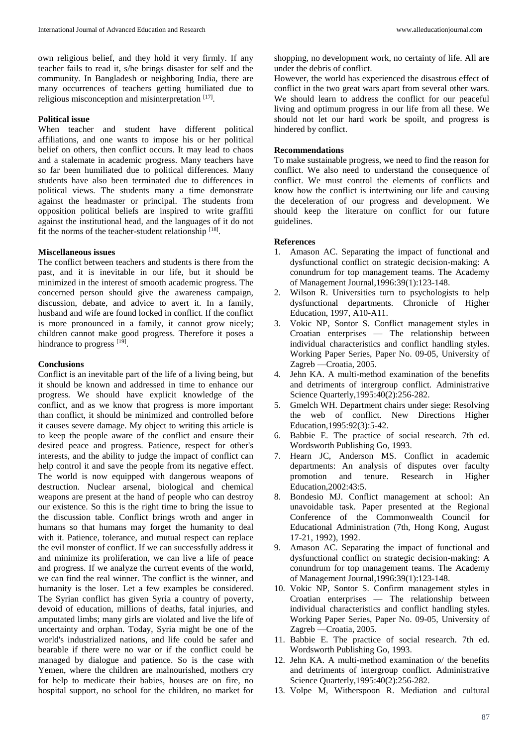own religious belief, and they hold it very firmly. If any teacher fails to read it, s/he brings disaster for self and the community. In Bangladesh or neighboring India, there are many occurrences of teachers getting humiliated due to religious misconception and misinterpretation [17].

### **Political issue**

When teacher and student have different political affiliations, and one wants to impose his or her political belief on others, then conflict occurs. It may lead to chaos and a stalemate in academic progress. Many teachers have so far been humiliated due to political differences. Many students have also been terminated due to differences in political views. The students many a time demonstrate against the headmaster or principal. The students from opposition political beliefs are inspired to write graffiti against the institutional head, and the languages of it do not fit the norms of the teacher-student relationship [18].

## **Miscellaneous issues**

The conflict between teachers and students is there from the past, and it is inevitable in our life, but it should be minimized in the interest of smooth academic progress. The concerned person should give the awareness campaign, discussion, debate, and advice to avert it. In a family, husband and wife are found locked in conflict. If the conflict is more pronounced in a family, it cannot grow nicely; children cannot make good progress. Therefore it poses a hindrance to progress [19].

## **Conclusions**

Conflict is an inevitable part of the life of a living being, but it should be known and addressed in time to enhance our progress. We should have explicit knowledge of the conflict, and as we know that progress is more important than conflict, it should be minimized and controlled before it causes severe damage. My object to writing this article is to keep the people aware of the conflict and ensure their desired peace and progress. Patience, respect for other's interests, and the ability to judge the impact of conflict can help control it and save the people from its negative effect. The world is now equipped with dangerous weapons of destruction. Nuclear arsenal, biological and chemical weapons are present at the hand of people who can destroy our existence. So this is the right time to bring the issue to the discussion table. Conflict brings wroth and anger in humans so that humans may forget the humanity to deal with it. Patience, tolerance, and mutual respect can replace the evil monster of conflict. If we can successfully address it and minimize its proliferation, we can live a life of peace and progress. If we analyze the current events of the world, we can find the real winner. The conflict is the winner, and humanity is the loser. Let a few examples be considered. The Syrian conflict has given Syria a country of poverty, devoid of education, millions of deaths, fatal injuries, and amputated limbs; many girls are violated and live the life of uncertainty and orphan. Today, Syria might be one of the world's industrialized nations, and life could be safer and bearable if there were no war or if the conflict could be managed by dialogue and patience. So is the case with Yemen, where the children are malnourished, mothers cry for help to medicate their babies, houses are on fire, no hospital support, no school for the children, no market for

shopping, no development work, no certainty of life. All are under the debris of conflict.

However, the world has experienced the disastrous effect of conflict in the two great wars apart from several other wars. We should learn to address the conflict for our peaceful living and optimum progress in our life from all these. We should not let our hard work be spoilt, and progress is hindered by conflict.

## **Recommendations**

To make sustainable progress, we need to find the reason for conflict. We also need to understand the consequence of conflict. We must control the elements of conflicts and know how the conflict is intertwining our life and causing the deceleration of our progress and development. We should keep the literature on conflict for our future guidelines.

## **References**

- 1. Amason AC. Separating the impact of functional and dysfunctional conflict on strategic decision-making: A conundrum for top management teams. The Academy of Management Journal,1996:39(1):123-148.
- 2. Wilson R. Universities turn to psychologists to help dysfunctional departments. Chronicle of Higher Education, 1997, A10-A11.
- 3. Vokic NP, Sontor S. Conflict management styles in Croatian enterprises — The relationship between individual characteristics and conflict handling styles. Working Paper Series, Paper No. 09-05, University of Zagreb —Croatia, 2005.
- 4. Jehn KA. A multi-method examination of the benefits and detriments of intergroup conflict. Administrative Science Quarterly, 1995: 40(2): 256-282.
- 5. Gmelch WH. Department chairs under siege: Resolving the web of conflict. New Directions Higher Education,1995:92(3):5-42.
- 6. Babbie E. The practice of social research. 7th ed. Wordsworth Publishing Go, 1993.
- 7. Hearn JC, Anderson MS. Conflict in academic departments: An analysis of disputes over faculty promotion and tenure. Research in Higher Education,2002:43:5.
- 8. Bondesio MJ. Conflict management at school: An unavoidable task. Paper presented at the Regional Conference of the Commonwealth Council for Educational Administration (7th, Hong Kong, August 17-21, 1992), 1992.
- 9. Amason AC. Separating the impact of functional and dysfunctional conflict on strategic decision-making: A conundrum for top management teams. The Academy of Management Journal,1996:39(1):123-148.
- 10. Vokic NP, Sontor S. Confirm management styles in Croatian enterprises — The relationship between individual characteristics and conflict handling styles. Working Paper Series, Paper No. 09-05, University of Zagreb —Croatia, 2005.
- 11. Babbie E. The practice of social research. 7th ed. Wordsworth Publishing Go, 1993.
- 12. Jehn KA. A multi-method examination o/ the benefits and detriments of intergroup conflict. Administrative Science Quarterly,1995:40(2):256-282.
- 13. Volpe M, Witherspoon R. Mediation and cultural